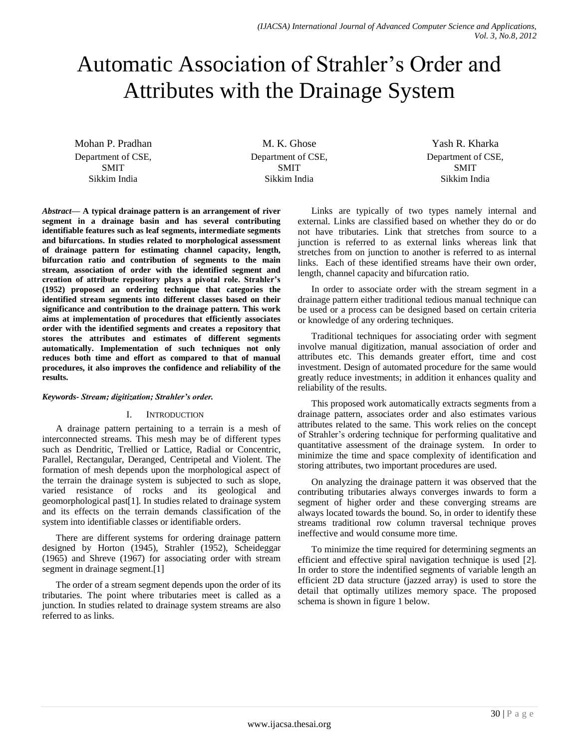# Automatic Association of Strahler's Order and Attributes with the Drainage System

Mohan P. Pradhan Department of CSE, SMIT Sikkim India

M. K. Ghose Department of CSE, SMIT Sikkim India

Yash R. Kharka Department of CSE, SMIT Sikkim India

*Abstract***— A typical drainage pattern is an arrangement of river segment in a drainage basin and has several contributing identifiable features such as leaf segments, intermediate segments and bifurcations. In studies related to morphological assessment of drainage pattern for estimating channel capacity, length, bifurcation ratio and contribution of segments to the main stream, association of order with the identified segment and creation of attribute repository plays a pivotal role. Strahler's (1952) proposed an ordering technique that categories the identified stream segments into different classes based on their significance and contribution to the drainage pattern. This work aims at implementation of procedures that efficiently associates order with the identified segments and creates a repository that stores the attributes and estimates of different segments automatically. Implementation of such techniques not only reduces both time and effort as compared to that of manual procedures, it also improves the confidence and reliability of the results.**

## *Keywords- Stream; digitization; Strahler's order.*

#### I. INTRODUCTION

A drainage pattern pertaining to a terrain is a mesh of interconnected streams. This mesh may be of different types such as Dendritic, Trellied or Lattice, Radial or Concentric, Parallel, Rectangular, Deranged, Centripetal and Violent. The formation of mesh depends upon the morphological aspect of the terrain the drainage system is subjected to such as slope, varied resistance of rocks and its geological and geomorphological past[1]. In studies related to drainage system and its effects on the terrain demands classification of the system into identifiable classes or identifiable orders.

There are different systems for ordering drainage pattern designed by Horton (1945), Strahler (1952), Scheideggar (1965) and Shreve (1967) for associating order with stream segment in drainage segment.<sup>[1]</sup>

The order of a stream segment depends upon the order of its tributaries. The point where tributaries meet is called as a junction. In studies related to drainage system streams are also referred to as links.

Links are typically of two types namely internal and external. Links are classified based on whether they do or do not have tributaries. Link that stretches from source to a junction is referred to as external links whereas link that stretches from on junction to another is referred to as internal links. Each of these identified streams have their own order, length, channel capacity and bifurcation ratio.

In order to associate order with the stream segment in a drainage pattern either traditional tedious manual technique can be used or a process can be designed based on certain criteria or knowledge of any ordering techniques.

Traditional techniques for associating order with segment involve manual digitization, manual association of order and attributes etc. This demands greater effort, time and cost investment. Design of automated procedure for the same would greatly reduce investments; in addition it enhances quality and reliability of the results.

This proposed work automatically extracts segments from a drainage pattern, associates order and also estimates various attributes related to the same. This work relies on the concept of Strahler's ordering technique for performing qualitative and quantitative assessment of the drainage system. In order to minimize the time and space complexity of identification and storing attributes, two important procedures are used.

On analyzing the drainage pattern it was observed that the contributing tributaries always converges inwards to form a segment of higher order and these converging streams are always located towards the bound. So, in order to identify these streams traditional row column traversal technique proves ineffective and would consume more time.

To minimize the time required for determining segments an efficient and effective spiral navigation technique is used [2]. In order to store the indentified segments of variable length an efficient 2D data structure (jazzed array) is used to store the detail that optimally utilizes memory space. The proposed schema is shown in figure 1 below.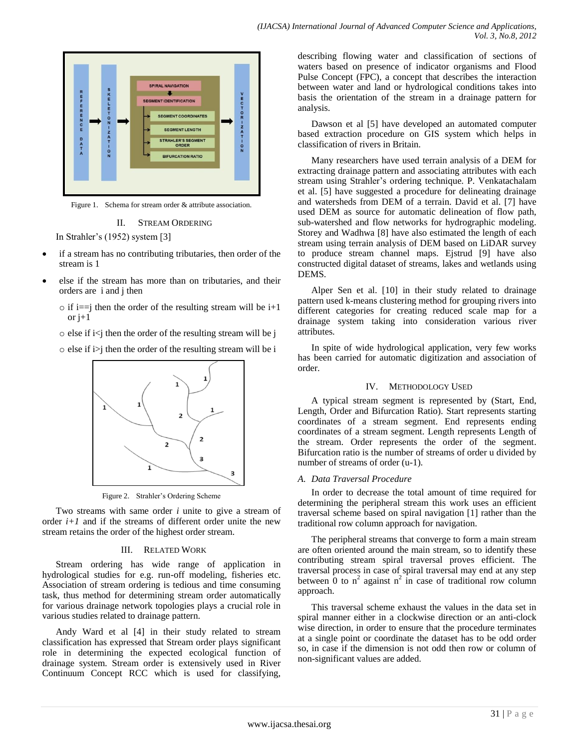

Figure 1. Schema for stream order & attribute association.

#### II. STREAM ORDERING

In Strahler's (1952) system [3]

- if a stream has no contributing tributaries, then order of the stream is 1
- else if the stream has more than on tributaries, and their orders are i and j then
	- $\circ$  if i==j then the order of the resulting stream will be i+1 or j+1
	- $\circ$  else if i $\leq$ j then the order of the resulting stream will be j
	- $\circ$  else if i i i then the order of the resulting stream will be i



Figure 2. Strahler's Ordering Scheme

Two streams with same order *i* unite to give a stream of order  $i+1$  and if the streams of different order unite the new stream retains the order of the highest order stream.

#### III. RELATED WORK

Stream ordering has wide range of application in hydrological studies for e.g. run-off modeling, fisheries etc. Association of stream ordering is tedious and time consuming task, thus method for determining stream order automatically for various drainage network topologies plays a crucial role in various studies related to drainage pattern.

Andy Ward et al [4] in their study related to stream classification has expressed that Stream order plays significant role in determining the expected ecological function of drainage system. Stream order is extensively used in River Continuum Concept RCC which is used for classifying, describing flowing water and classification of sections of waters based on presence of indicator organisms and Flood Pulse Concept (FPC), a concept that describes the interaction between water and land or hydrological conditions takes into basis the orientation of the stream in a drainage pattern for analysis.

Dawson et al [5] have developed an automated computer based extraction procedure on GIS system which helps in classification of rivers in Britain.

Many researchers have used terrain analysis of a DEM for extracting drainage pattern and associating attributes with each stream using Strahler's ordering technique. P. Venkatachalam et al. [5] have suggested a procedure for delineating drainage and watersheds from DEM of a terrain. David et al. [7] have used DEM as source for automatic delineation of flow path, sub-watershed and flow networks for hydrographic modeling. Storey and Wadhwa [8] have also estimated the length of each stream using terrain analysis of DEM based on LiDAR survey to produce stream channel maps. Ejstrud [9] have also constructed digital dataset of streams, lakes and wetlands using DEMS.

Alper Sen et al. [10] in their study related to drainage pattern used k-means clustering method for grouping rivers into different categories for creating reduced scale map for a drainage system taking into consideration various river attributes.

In spite of wide hydrological application, very few works has been carried for automatic digitization and association of order.

#### IV. METHODOLOGY USED

A typical stream segment is represented by (Start, End, Length, Order and Bifurcation Ratio). Start represents starting coordinates of a stream segment. End represents ending coordinates of a stream segment. Length represents Length of the stream. Order represents the order of the segment. Bifurcation ratio is the number of streams of order u divided by number of streams of order (u-1).

#### *A. Data Traversal Procedure*

In order to decrease the total amount of time required for determining the peripheral stream this work uses an efficient traversal scheme based on spiral navigation [1] rather than the traditional row column approach for navigation.

The peripheral streams that converge to form a main stream are often oriented around the main stream, so to identify these contributing stream spiral traversal proves efficient. The traversal process in case of spiral traversal may end at any step between  $\overline{0}$  to  $n^2$  against  $n^2$  in case of traditional row column approach.

This traversal scheme exhaust the values in the data set in spiral manner either in a clockwise direction or an anti-clock wise direction, in order to ensure that the procedure terminates at a single point or coordinate the dataset has to be odd order so, in case if the dimension is not odd then row or column of non-significant values are added.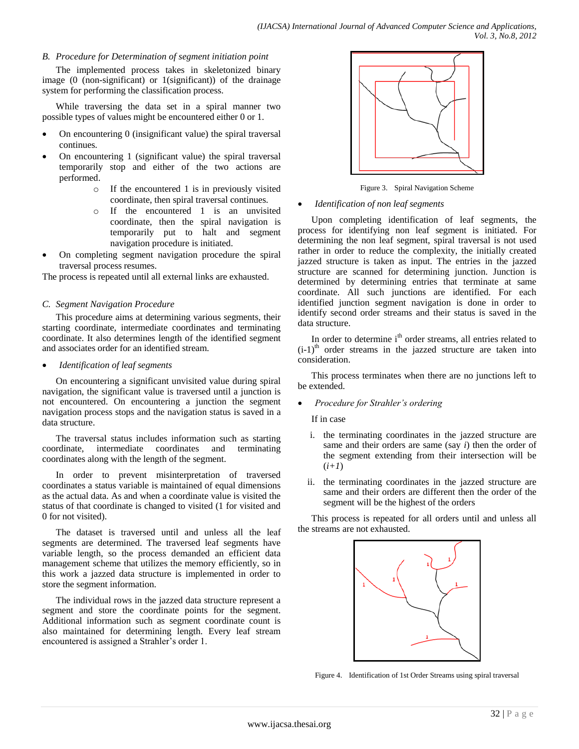## *B. Procedure for Determination of segment initiation point*

The implemented process takes in skeletonized binary image (0 (non-significant) or 1(significant)) of the drainage system for performing the classification process.

While traversing the data set in a spiral manner two possible types of values might be encountered either 0 or 1.

- On encountering 0 (insignificant value) the spiral traversal continues.
- On encountering 1 (significant value) the spiral traversal temporarily stop and either of the two actions are performed.
	- o If the encountered 1 is in previously visited coordinate, then spiral traversal continues.
	- o If the encountered 1 is an unvisited coordinate, then the spiral navigation is temporarily put to halt and segment navigation procedure is initiated.
- On completing segment navigation procedure the spiral traversal process resumes.

The process is repeated until all external links are exhausted.

## *C. Segment Navigation Procedure*

This procedure aims at determining various segments, their starting coordinate, intermediate coordinates and terminating coordinate. It also determines length of the identified segment and associates order for an identified stream.

*Identification of leaf segments*

On encountering a significant unvisited value during spiral navigation, the significant value is traversed until a junction is not encountered. On encountering a junction the segment navigation process stops and the navigation status is saved in a data structure.

The traversal status includes information such as starting coordinate, intermediate coordinates and terminating coordinates along with the length of the segment.

In order to prevent misinterpretation of traversed coordinates a status variable is maintained of equal dimensions as the actual data. As and when a coordinate value is visited the status of that coordinate is changed to visited (1 for visited and 0 for not visited).

The dataset is traversed until and unless all the leaf segments are determined. The traversed leaf segments have variable length, so the process demanded an efficient data management scheme that utilizes the memory efficiently, so in this work a jazzed data structure is implemented in order to store the segment information.

The individual rows in the jazzed data structure represent a segment and store the coordinate points for the segment. Additional information such as segment coordinate count is also maintained for determining length. Every leaf stream encountered is assigned a Strahler's order 1.



Figure 3. Spiral Navigation Scheme

## *Identification of non leaf segments*

Upon completing identification of leaf segments, the process for identifying non leaf segment is initiated. For determining the non leaf segment, spiral traversal is not used rather in order to reduce the complexity, the initially created jazzed structure is taken as input. The entries in the jazzed structure are scanned for determining junction. Junction is determined by determining entries that terminate at same coordinate. All such junctions are identified. For each identified junction segment navigation is done in order to identify second order streams and their status is saved in the data structure.

In order to determine i<sup>th</sup> order streams, all entries related to  $(i-1)$ <sup>th</sup> order streams in the jazzed structure are taken into consideration.

This process terminates when there are no junctions left to be extended.

*Procedure for Strahler's ordering*

If in case

- i. the terminating coordinates in the jazzed structure are same and their orders are same (say *i*) then the order of the segment extending from their intersection will be (*i+1*)
- ii. the terminating coordinates in the jazzed structure are same and their orders are different then the order of the segment will be the highest of the orders

This process is repeated for all orders until and unless all the streams are not exhausted.



Figure 4. Identification of 1st Order Streams using spiral traversal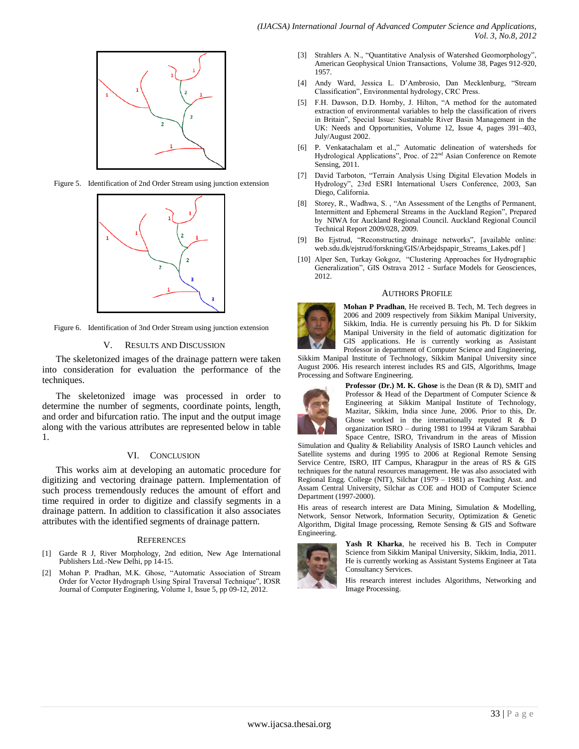

Figure 5. Identification of 2nd Order Stream using junction extension



Figure 6. Identification of 3nd Order Stream using junction extension

## V. RESULTS AND DISCUSSION

The skeletonized images of the drainage pattern were taken into consideration for evaluation the performance of the techniques.

The skeletonized image was processed in order to determine the number of segments, coordinate points, length, and order and bifurcation ratio. The input and the output image along with the various attributes are represented below in table 1.

## VI. CONCLUSION

This works aim at developing an automatic procedure for digitizing and vectoring drainage pattern. Implementation of such process tremendously reduces the amount of effort and time required in order to digitize and classify segments in a drainage pattern. In addition to classification it also associates attributes with the identified segments of drainage pattern.

#### **REFERENCES**

- [1] Garde R J, River Morphology, 2nd edition, New Age International Publishers Ltd.-New Delhi, pp 14-15.
- [2] Mohan P. Pradhan, M.K. Ghose, "Automatic Association of Stream Order for Vector Hydrograph Using Spiral Traversal Technique", IOSR Journal of Computer Enginering, Volume 1, Issue 5, pp 09-12, 2012.
- [3] Strahlers A. N., "Quantitative Analysis of Watershed Geomorphology", American Geophysical Union Transactions, Volume 38, Pages 912-920, 1957.
- [4] Andy Ward, Jessica L. D'Ambrosio, Dan Mecklenburg, "Stream Classification", Environmental hydrology, CRC Press.
- [5] F.H. Dawson, D.D. Hornby, J. Hilton, "A method for the automated extraction of environmental variables to help the classification of rivers in Britain", Special Issue: Sustainable River Basin Management in the UK: Needs and Opportunities, Volume 12, Issue 4, pages 391–403, July/August 2002.
- [6] P. Venkatachalam et al.," Automatic delineation of watersheds for Hydrological Applications", Proc. of 22nd Asian Conference on Remote Sensing, 2011.
- [7] David Tarboton, "Terrain Analysis Using Digital Elevation Models in Hydrology", 23rd ESRI International Users Conference, 2003, San Diego, California.
- [8] Storey, R., Wadhwa, S. , "An Assessment of the Lengths of Permanent, Intermittent and Ephemeral Streams in the Auckland Region", Prepared by NIWA for Auckland Regional Council. Auckland Regional Council Technical Report 2009/028, 2009.
- [9] Bo Ejstrud, "Reconstructing drainage networks", [available online: web.sdu.dk/ejstrud/forskning/GIS/Arbejdspapir\_Streams\_Lakes.pdf ]
- [10] Alper Sen, Turkay Gokgoz, "Clustering Approaches for Hydrographic Generalization", GIS Ostrava 2012 - Surface Models for Geosciences, 2012.

## AUTHORS PROFILE



**Mohan P Pradhan**, He received B. Tech, M. Tech degrees in 2006 and 2009 respectively from Sikkim Manipal University, Sikkim, India. He is currently persuing his Ph. D for Sikkim Manipal University in the field of automatic digitization for GIS applications. He is currently working as Assistant Professor in department of Computer Science and Engineering,

Sikkim Manipal Institute of Technology, Sikkim Manipal University since August 2006. His research interest includes RS and GIS, Algorithms, Image Processing and Software Engineering.



**Professor (Dr.) M. K. Ghose** is the Dean (R & D), SMIT and Professor & Head of the Department of Computer Science & Engineering at Sikkim Manipal Institute of Technology, Mazitar, Sikkim, India since June, 2006. Prior to this, Dr. Ghose worked in the internationally reputed R & D organization ISRO – during 1981 to 1994 at Vikram Sarabhai Space Centre, ISRO, Trivandrum in the areas of Mission

Simulation and Quality & Reliability Analysis of ISRO Launch vehicles and Satellite systems and during 1995 to 2006 at Regional Remote Sensing Service Centre, ISRO, IIT Campus, Kharagpur in the areas of RS & GIS techniques for the natural resources management. He was also associated with Regional Engg. College (NIT), Silchar (1979 – 1981) as Teaching Asst. and Assam Central University, Silchar as COE and HOD of Computer Science Department (1997-2000).

His areas of research interest are Data Mining, Simulation & Modelling, Network, Sensor Network, Information Security, Optimization & Genetic Algorithm, Digital Image processing, Remote Sensing & GIS and Software Engineering.



**Yash R Kharka**, he received his B. Tech in Computer Science from Sikkim Manipal University, Sikkim, India, 2011. He is currently working as Assistant Systems Engineer at Tata Consultancy Services.

His research interest includes Algorithms, Networking and Image Processing.